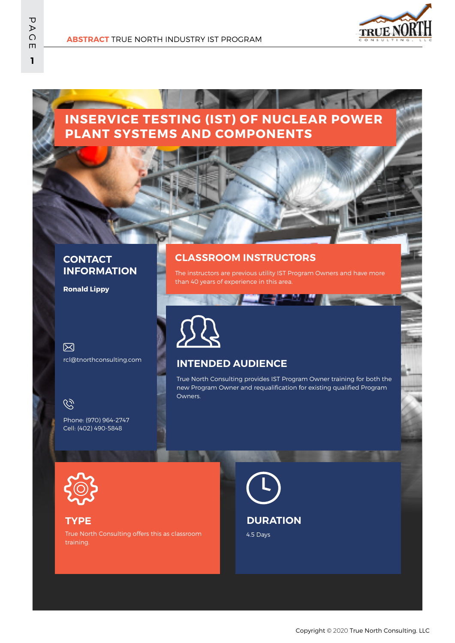

# **INSERVICE TESTING (IST) OF NUCLEAR POWER PLANT SYSTEMS AND COMPONENTS**

#### **CONTACT INFORMATION**

**Ronald Lippy**

冈 rcl@tnorthconsulting.com

## $\mathscr{C}$

Phone: (970) 964-2747 Cell: (402) 490-5848

### **CLASSROOM INSTRUCTORS**

The instructors are previous utility IST Program Owners and have more than 40 years of experience in this area.

24 M U



### **INTENDED AUDIENCE**

True North Consulting provides IST Program Owner training for both the new Program Owner and requalification for existing qualified Program Owners.



#### **TYPE**

True North Consulting offers this as classroom training.

**DURATION**

4.5 Days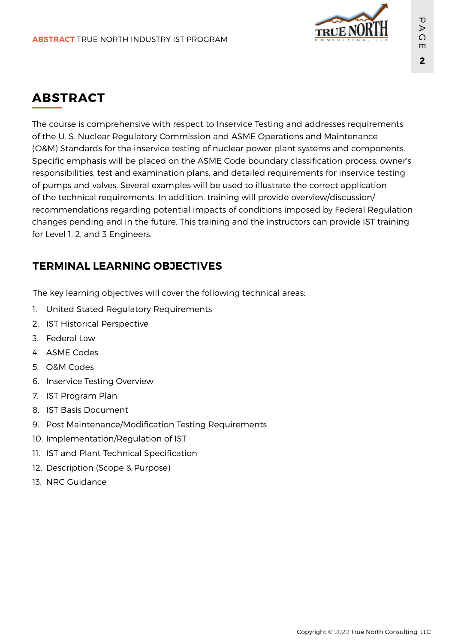

# **ABSTRACT**

The course is comprehensive with respect to Inservice Testing and addresses requirements of the U. S. Nuclear Regulatory Commission and ASME Operations and Maintenance (O&M) Standards for the inservice testing of nuclear power plant systems and components. Specific emphasis will be placed on the ASME Code boundary classification process, owner's responsibilities, test and examination plans, and detailed requirements for inservice testing of pumps and valves. Several examples will be used to illustrate the correct application of the technical requirements. In addition, training will provide overview/discussion/ recommendations regarding potential impacts of conditions imposed by Federal Regulation changes pending and in the future. This training and the instructors can provide IST training for Level 1, 2, and 3 Engineers.

# **TERMINAL LEARNING OBJECTIVES**

The key learning objectives will cover the following technical areas:

- 1. United Stated Regulatory Requirements
- 2. IST Historical Perspective
- 3. Federal Law
- 4. ASME Codes
- 5. O&M Codes
- 6. Inservice Testing Overview
- 7. IST Program Plan
- 8. IST Basis Document
- 9. Post Maintenance/Modification Testing Requirements
- 10. Implementation/Regulation of IST
- 11. IST and Plant Technical Specification
- 12. Description (Scope & Purpose)
- 13. NRC Guidance